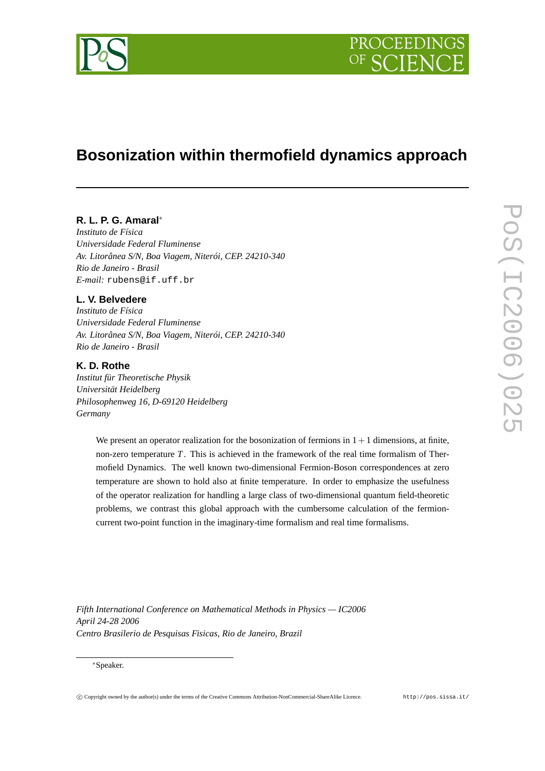

# **Bosonization within thermofield dynamics approach**

# **R. L. P. G. Amaral**∗

*Instituto de Física Universidade Federal Fluminense Av. Litorânea S/N, Boa Viagem, Niterói, CEP. 24210-340 Rio de Janeiro - Brasil E-mail:* rubens@if.uff.br

# **L. V. Belvedere**

*Instituto de Física Universidade Federal Fluminense Av. Litorânea S/N, Boa Viagem, Niterói, CEP. 24210-340 Rio de Janeiro - Brasil*

# **K. D. Rothe**

*Institut für Theoretische Physik Universität Heidelberg Philosophenweg 16, D-69120 Heidelberg Germany*

> We present an operator realization for the bosonization of fermions in  $1+1$  dimensions, at finite, non-zero temperature *T*. This is achieved in the framework of the real time formalism of Thermofield Dynamics. The well known two-dimensional Fermion-Boson correspondences at zero temperature are shown to hold also at finite temperature. In order to emphasize the usefulness of the operator realization for handling a large class of two-dimensional quantum field-theoretic problems, we contrast this global approach with the cumbersome calculation of the fermioncurrent two-point function in the imaginary-time formalism and real time formalisms.

*Fifth International Conference on Mathematical Methods in Physics — IC2006 April 24-28 2006 Centro Brasilerio de Pesquisas Fisicas, Rio de Janeiro, Brazil*

#### ∗Speaker.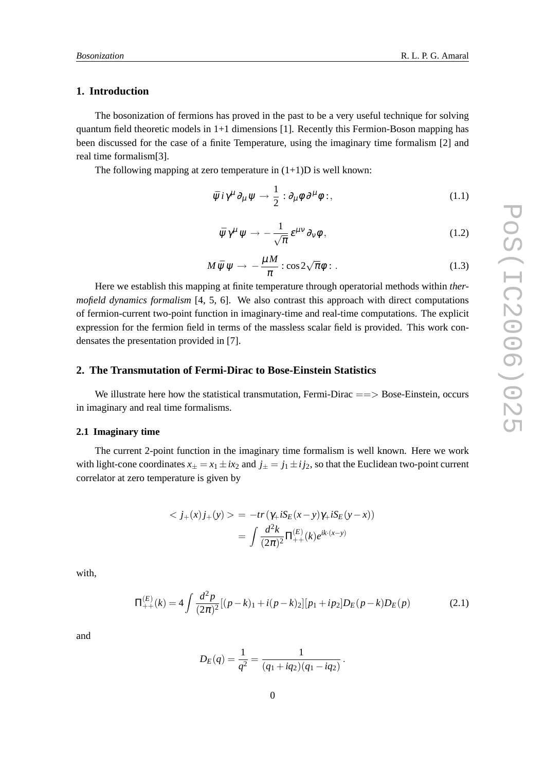#### **1. Introduction**

The bosonization of fermions has proved in the past to be a very useful technique for solving quantum field theoretic models in 1+1 dimensions [1]. Recently this Fermion-Boson mapping has been discussed for the case of a finite Temperature, using the imaginary time formalism [2] and real time formalism[3].

The following mapping at zero temperature in  $(1+1)D$  is well known:

$$
\bar{\psi} i \gamma^{\mu} \partial_{\mu} \psi \rightarrow \frac{1}{2} : \partial_{\mu} \phi \, \partial^{\mu} \phi : , \tag{1.1}
$$

$$
\bar{\psi}\gamma^{\mu}\psi \rightarrow -\frac{1}{\sqrt{\pi}}\,\varepsilon^{\mu\nu}\,\partial_{\nu}\phi\,,\tag{1.2}
$$

$$
M\bar{\psi}\psi \to -\frac{\mu M}{\pi} : \cos 2\sqrt{\pi}\phi : . \tag{1.3}
$$

Here we establish this mapping at finite temperature through operatorial methods within *thermofield dynamics formalism* [4, 5, 6]. We also contrast this approach with direct computations of fermion-current two-point function in imaginary-time and real-time computations. The explicit expression for the fermion field in terms of the massless scalar field is provided. This work condensates the presentation provided in [7].

#### **2. The Transmutation of Fermi-Dirac to Bose-Einstein Statistics**

We illustrate here how the statistical transmutation, Fermi-Dirac  $==>$  Bose-Einstein, occurs in imaginary and real time formalisms.

#### **2.1 Imaginary time**

The current 2-point function in the imaginary time formalism is well known. Here we work with light-cone coordinates  $x_{\pm} = x_1 \pm ix_2$  and  $j_{\pm} = j_1 \pm ij_2$ , so that the Euclidean two-point current correlator at zero temperature is given by

$$
\langle j_{+}(x)j_{+}(y)\rangle = -tr(\gamma_{+}iS_{E}(x-y)\gamma_{+}iS_{E}(y-x))
$$

$$
= \int \frac{d^{2}k}{(2\pi)^{2}}\Pi_{++}^{(E)}(k)e^{ik\cdot(x-y)}
$$

with,

$$
\Pi_{++}^{(E)}(k) = 4 \int \frac{d^2 p}{(2\pi)^2} [(p-k)_1 + i(p-k)_2] [p_1 + ip_2] D_E(p-k) D_E(p)
$$
\n(2.1)

and

$$
D_E(q) = \frac{1}{q^2} = \frac{1}{(q_1 + iq_2)(q_1 - iq_2)}.
$$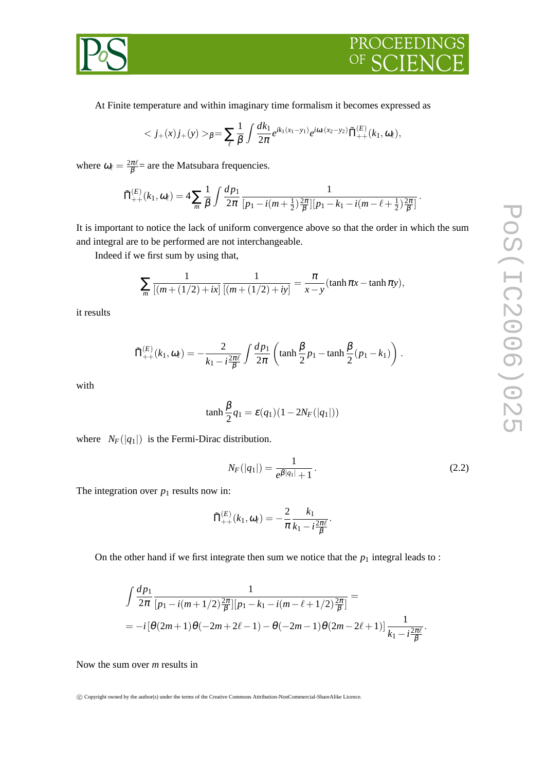



At Finite temperature and within imaginary time formalism it becomes expressed as

$$
_{\beta} = \sum_{\ell} \frac{1}{\beta} \int \frac{dk_1}{2\pi} e^{ik_1(x_1-y_1)} e^{i\omega_{\ell}(x_2-y_2)} \tilde{\Pi}^{(E)}_{++}(k_1,\omega_{\ell}),
$$

where  $\omega_{\ell} = \frac{2\pi\ell}{\beta}$  are the Matsubara frequencies.

$$
\tilde{\Pi}_{++}^{(E)}(k_1,\omega_{\ell})=4\sum_{m}\frac{1}{\beta}\int\frac{dp_1}{2\pi}\frac{1}{[p_1-i(m+\frac{1}{2})\frac{2\pi}{\beta}][p_1-k_1-i(m-\ell+\frac{1}{2})\frac{2\pi}{\beta}]}.
$$

It is important to notice the lack of uniform convergence above so that the order in which the sum and integral are to be performed are not interchangeable.

Indeed if we first sum by using that,

$$
\sum_{m} \frac{1}{[(m + (1/2) + ix)]} \frac{1}{[(m + (1/2) + iy)]} = \frac{\pi}{x - y} (\tanh \pi x - \tanh \pi y),
$$

it results

$$
\tilde{\Pi}_{++}^{(E)}(k_1,\omega_{\ell}) = -\frac{2}{k_1 - i\frac{2\pi\ell}{\beta}} \int \frac{dp_1}{2\pi} \left( \tanh\frac{\beta}{2} p_1 - \tanh\frac{\beta}{2} (p_1 - k_1) \right).
$$

with

$$
\tanh\frac{\beta}{2}q_1 = \varepsilon(q_1)(1 - 2N_F(|q_1|))
$$

where  $N_F(|q_1|)$  is the Fermi-Dirac distribution.

$$
N_F(|q_1|) = \frac{1}{e^{\beta|q_1|} + 1}.
$$
\n(2.2)

The integration over  $p_1$  results now in:

$$
\tilde{\Pi}^{(E)}_{++}(k_1,\pmb{\omega_\ell})=-\frac{2}{\pi}\frac{k_1}{k_1-i\frac{2\pi\ell}{\beta}}.
$$

On the other hand if we first integrate then sum we notice that the  $p_1$  integral leads to :

$$
\int \frac{dp_1}{2\pi} \frac{1}{[p_1 - i(m+1/2)\frac{2\pi}{\beta}][p_1 - k_1 - i(m - \ell + 1/2)\frac{2\pi}{\beta}]} =
$$
  
=  $-i[\theta(2m+1)\theta(-2m+2\ell-1) - \theta(-2m-1)\theta(2m-2\ell+1)] \frac{1}{k_1 - i\frac{2\pi\ell}{\beta}}.$ 

Now the sum over *m* results in

c Copyright owned by the author(s) under the terms of the Creative Commons Attribution-NonCommercial-ShareAlike Licence.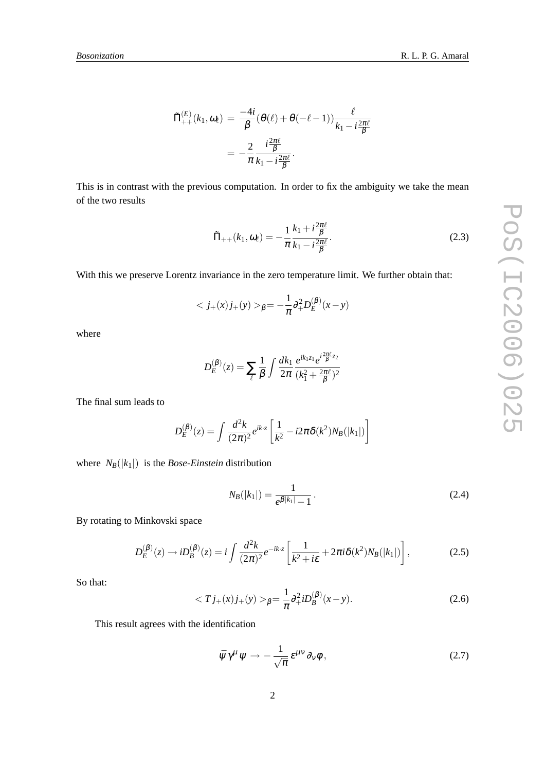$$
\tilde{\Pi}_{++}^{(E)}(k_1, \omega_\ell) = \frac{-4i}{\beta} (\theta(\ell) + \theta(-\ell - 1)) \frac{\ell}{k_1 - i\frac{2\pi\ell}{\beta}}
$$

$$
= -\frac{2}{\pi} \frac{i\frac{2\pi\ell}{\beta}}{k_1 - i\frac{2\pi\ell}{\beta}}.
$$

This is in contrast with the previous computation. In order to fix the ambiguity we take the mean of the two results

$$
\tilde{\Pi}_{++}(k_1,\omega_{\ell}) = -\frac{1}{\pi} \frac{k_1 + i\frac{2\pi\ell}{\beta}}{k_1 - i\frac{2\pi\ell}{\beta}}.
$$
\n(2.3)

With this we preserve Lorentz invariance in the zero temperature limit. We further obtain that:

$$
\langle j_{+}(x)j_{+}(y)\rangle_{\beta} = -\frac{1}{\pi}\partial_{+}^{2}D_{E}^{(\beta)}(x-y)
$$

where

$$
D_E^{(\beta)}(z) = \sum_{\ell} \frac{1}{\beta} \int \frac{dk_1}{2\pi} \frac{e^{ik_1 z_1} e^{i\frac{2\pi\ell}{\beta}z_2}}{(k_1^2 + \frac{2\pi\ell}{\beta})^2}
$$

The final sum leads to

$$
D_E^{(\beta)}(z) = \int \frac{d^2k}{(2\pi)^2} e^{ik \cdot z} \left[ \frac{1}{k^2} - i2\pi \delta(k^2) N_B(|k_1|) \right]
$$

where  $N_B(|k_1|)$  is the *Bose-Einstein* distribution

$$
N_B(|k_1|) = \frac{1}{e^{\beta|k_1|} - 1}.
$$
\n(2.4)

By rotating to Minkovski space

$$
D_E^{(\beta)}(z) \to i D_B^{(\beta)}(z) = i \int \frac{d^2 k}{(2\pi)^2} e^{-ik \cdot z} \left[ \frac{1}{k^2 + i\epsilon} + 2\pi i \delta(k^2) N_B(|k_1|) \right],
$$
 (2.5)

So that:

$$
\langle Tj_{+}(x)j_{+}(y)\rangle_{\beta} = \frac{1}{\pi}\partial_{+}^{2}iD_{B}^{(\beta)}(x-y). \tag{2.6}
$$

This result agrees with the identification

$$
\bar{\psi}\gamma^{\mu}\psi \rightarrow -\frac{1}{\sqrt{\pi}}\,\varepsilon^{\mu\nu}\,\partial_{\nu}\phi\,,\tag{2.7}
$$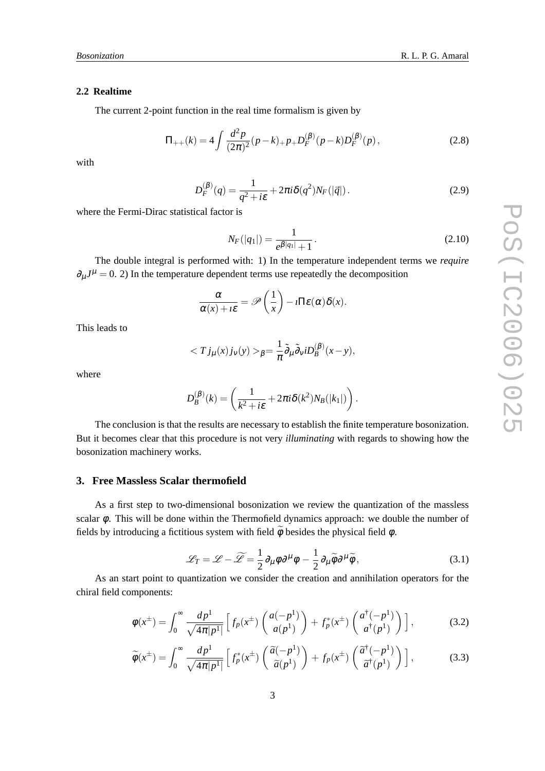#### **2.2 Realtime**

The current 2-point function in the real time formalism is given by

$$
\Pi_{++}(k) = 4 \int \frac{d^2 p}{(2\pi)^2} (p - k)_{+} p_{+} D_F^{(\beta)}(p - k) D_F^{(\beta)}(p) , \qquad (2.8)
$$

with

$$
D_F^{(\beta)}(q) = \frac{1}{q^2 + i\varepsilon} + 2\pi i \delta(q^2) N_F(|\vec{q}|).
$$
 (2.9)

where the Fermi-Dirac statistical factor is

$$
N_F(|q_1|) = \frac{1}{e^{\beta|q_1|} + 1}.
$$
\n(2.10)

The double integral is performed with: 1) In the temperature independent terms we *require*  $\partial_{\mu}J^{\mu} = 0$ . 2) In the temperature dependent terms use repeatedly the decomposition

$$
\frac{\alpha}{\alpha(x)+i\varepsilon}=\mathscr{P}\left(\frac{1}{x}\right)-i\Pi\varepsilon(\alpha)\delta(x).
$$

This leads to

$$
\langle Tj_{\mu}(x)j_{\nu}(y)\rangle_{\beta}=\frac{1}{\pi}\tilde{\partial}_{\mu}\tilde{\partial}_{\nu}iD_{B}^{(\beta)}(x-y),
$$

where

$$
D_B^{(\beta)}(k) = \left(\frac{1}{k^2 + i\varepsilon} + 2\pi i \delta(k^2) N_B(|k_1|)\right).
$$

The conclusion is that the results are necessary to establish the finite temperature bosonization. But it becomes clear that this procedure is not very *illuminating* with regards to showing how the bosonization machinery works.

#### **3. Free Massless Scalar thermofield**

As a first step to two-dimensional bosonization we review the quantization of the massless scalar  $\phi$ . This will be done within the Thermofield dynamics approach: we double the number of fields by introducing a fictitious system with field  $\phi$  besides the physical field  $\phi$ .

$$
\mathcal{L}_T = \mathcal{L} - \widetilde{\mathcal{L}} = \frac{1}{2} \partial_\mu \phi \partial^\mu \phi - \frac{1}{2} \partial_\mu \widetilde{\phi} \partial^\mu \widetilde{\phi}, \tag{3.1}
$$

As an start point to quantization we consider the creation and annihilation operators for the chiral field components:

$$
\phi(x^{\pm}) = \int_0^{\infty} \frac{dp^1}{\sqrt{4\pi|p^1|}} \left[ f_p(x^{\pm}) \left( \frac{a(-p^1)}{a(p^1)} \right) + f_p^*(x^{\pm}) \left( \frac{a^{\dagger}(-p^1)}{a^{\dagger}(p^1)} \right) \right],
$$
 (3.2)

$$
\widetilde{\phi}(x^{\pm}) = \int_0^{\infty} \frac{dp^1}{\sqrt{4\pi|p^1|}} \left[ f_p^*(x^{\pm}) \left( \frac{\widetilde{a}(-p^1)}{\widetilde{a}(p^1)} \right) + f_p(x^{\pm}) \left( \frac{\widetilde{a}^{\dagger}(-p^1)}{\widetilde{a}^{\dagger}(p^1)} \right) \right],
$$
\n(3.3)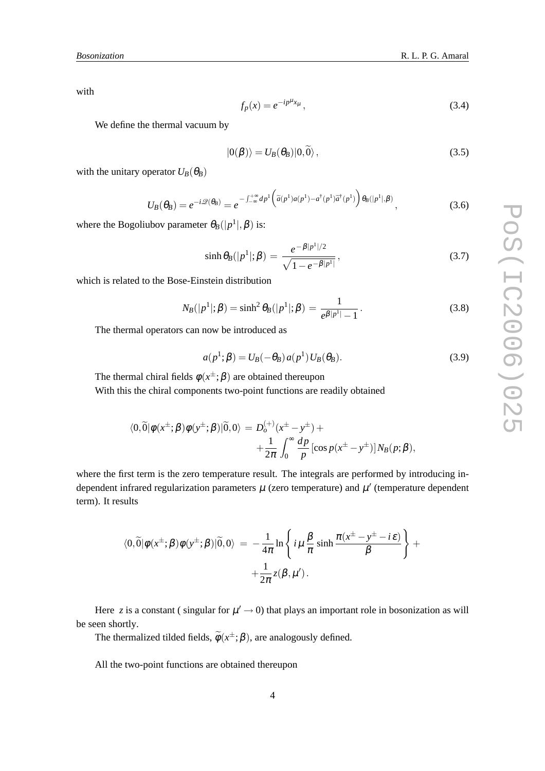with

$$
f_p(x) = e^{-ip^{\mu}x_{\mu}}, \tag{3.4}
$$

We define the thermal vacuum by

$$
|0(\beta)\rangle = U_B(\theta_B)|0,\tilde{0}\rangle, \qquad (3.5)
$$

with the unitary operator  $U_B(\theta_B)$ 

$$
U_B(\theta_B) = e^{-i\mathcal{Q}(\theta_B)} = e^{-\int_{-\infty}^{+\infty} dp^1 \left(\tilde{a}(p^1)a(p^1) - a^\dagger(p^1)\tilde{a}^\dagger(p^1)\right)\theta_B(|p^1|, \beta)}, \tag{3.6}
$$

where the Bogoliubov parameter  $\theta_B(|p^1|, \beta)$  is:

$$
\sinh \theta_B(|p^1|; \beta) = \frac{e^{-\beta|p^1|/2}}{\sqrt{1 - e^{-\beta|p^1|}}},
$$
\n(3.7)

which is related to the Bose-Einstein distribution

$$
N_B(|p^1|; \beta) = \sinh^2 \theta_B(|p^1|; \beta) = \frac{1}{e^{\beta|p^1|} - 1}.
$$
\n(3.8)

The thermal operators can now be introduced as

$$
a(p1; \beta) = UB(-\thetaB) a(p1) UB(\thetaB).
$$
\n(3.9)

The thermal chiral fields 
$$
\phi(x^{\pm}; \beta)
$$
 are obtained thereupon  
With this the chiral components two-point functions are readily obtained

$$
\langle 0,\widetilde{0}|\phi(x^{\pm};\beta)\phi(y^{\pm};\beta)|\widetilde{0},0\rangle = D_o^{(+)}(x^{\pm}-y^{\pm}) +
$$
  
 
$$
+\frac{1}{2\pi}\int_0^{\infty}\frac{dp}{p}[\cos p(x^{\pm}-y^{\pm})]N_B(p;\beta),
$$

where the first term is the zero temperature result. The integrals are performed by introducing independent infrared regularization parameters  $\mu$  (zero temperature) and  $\mu'$  (temperature dependent term). It results

$$
\langle 0,\widetilde{0}|\phi(x^{\pm};\beta)\phi(y^{\pm};\beta)|\widetilde{0},0\rangle = -\frac{1}{4\pi}\ln\left\{i\mu\frac{\beta}{\pi}\sinh\frac{\pi(x^{\pm}-y^{\pm}-i\varepsilon)}{\beta}\right\} + \frac{1}{2\pi}z(\beta,\mu').
$$

Here z is a constant (singular for  $\mu' \rightarrow 0$ ) that plays an important role in bosonization as will be seen shortly.

The thermalized tilded fields,  $\phi(x^{\pm};\beta)$ , are analogously defined.

All the two-point functions are obtained thereupon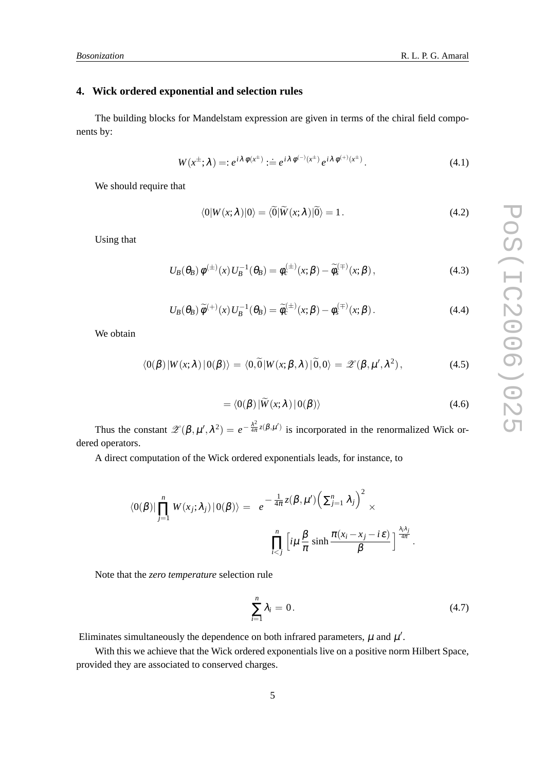# **4. Wick ordered exponential and selection rules**

The building blocks for Mandelstam expression are given in terms of the chiral field components by:

$$
W(x^{\pm};\lambda) =: e^{i\lambda \phi(x^{\pm})} := e^{i\lambda \phi^{(-)}(x^{\pm})} e^{i\lambda \phi^{(+)}(x^{\pm})}.
$$
\n(4.1)

We should require that

$$
\langle 0|W(x;\lambda)|0\rangle = \langle 0|\widetilde{W}(x;\lambda)|0\rangle = 1.
$$
 (4.2)

Using that

$$
U_B(\theta_B) \phi^{(\pm)}(x) U_B^{-1}(\theta_B) = \phi_c^{(\pm)}(x;\beta) - \widetilde{\phi}_s^{(\mp)}(x;\beta), \qquad (4.3)
$$

$$
U_B(\theta_B)\,\widetilde{\phi}^{(+)}(x)\,U_B^{-1}(\theta_B)=\widetilde{\phi}_c^{(\pm)}(x;\beta)-\phi_s^{(\mp)}(x;\beta)\,. \tag{4.4}
$$

We obtain

$$
\langle 0(\beta) | W(x;\lambda) | 0(\beta) \rangle = \langle 0, \widetilde{0} | W(x;\beta,\lambda) | \widetilde{0}, 0 \rangle = \mathscr{Z}(\beta, \mu', \lambda^2), \tag{4.5}
$$

$$
= \langle 0(\beta) | \widetilde{W}(x;\lambda) | 0(\beta) \rangle \tag{4.6}
$$

Thus the constant  $\mathscr{Z}(\beta,\mu',\lambda^2) = e^{-\frac{\lambda^2}{4\pi}}$  $\frac{\lambda^2}{4\pi}z(\beta,\mu')$  is incorporated in the renormalized Wick ordered operators.

A direct computation of the Wick ordered exponentials leads, for instance, to

$$
\langle 0(\beta)|\prod_{j=1}^n W(x_j;\lambda_j)|0(\beta)\rangle = e^{-\frac{1}{4\pi}z(\beta,\mu')\left(\sum_{j=1}^n \lambda_j\right)^2} \times \prod_{i
$$

Note that the *zero temperature* selection rule

$$
\sum_{i=1}^{n} \lambda_i = 0. \tag{4.7}
$$

Eliminates simultaneously the dependence on both infrared parameters,  $\mu$  and  $\mu'$ .

With this we achieve that the Wick ordered exponentials live on a positive norm Hilbert Space, provided they are associated to conserved charges.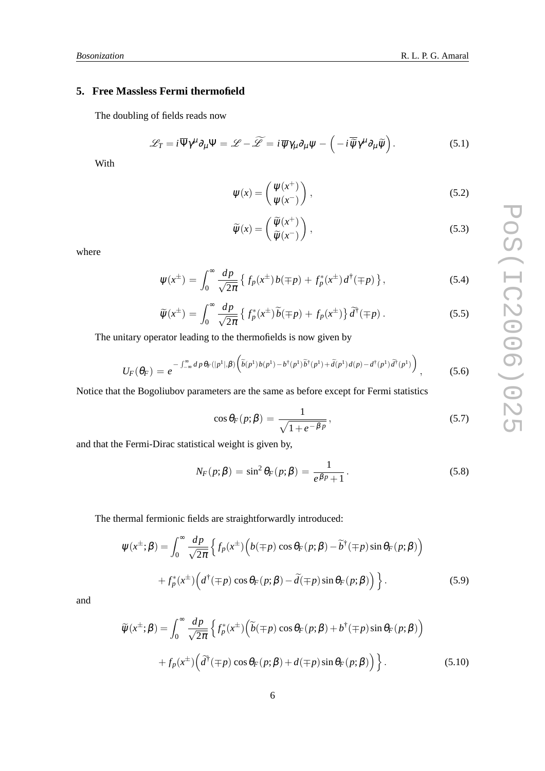## **5. Free Massless Fermi thermofield**

The doubling of fields reads now

$$
\mathscr{L}_T = i \overline{\Psi} \gamma^{\mu} \partial_{\mu} \Psi = \mathscr{L} - \widetilde{\mathscr{L}} = i \overline{\psi} \gamma_{\mu} \partial_{\mu} \psi - \left( -i \overline{\widetilde{\psi}} \gamma^{\mu} \partial_{\mu} \widetilde{\psi} \right).
$$
 (5.1)

With

$$
\psi(x) = \begin{pmatrix} \psi(x^+) \\ \psi(x^-) \end{pmatrix},\tag{5.2}
$$

$$
\widetilde{\psi}(x) = \begin{pmatrix} \widetilde{\psi}(x^+) \\ \widetilde{\psi}(x^-) \end{pmatrix},\tag{5.3}
$$

where

$$
\Psi(x^{\pm}) = \int_0^{\infty} \frac{dp}{\sqrt{2\pi}} \left\{ f_p(x^{\pm}) b(\mp p) + f_p^*(x^{\pm}) d^{\dagger}(\mp p) \right\},\tag{5.4}
$$

$$
\widetilde{\psi}(x^{\pm}) = \int_0^{\infty} \frac{dp}{\sqrt{2\pi}} \left\{ f_p^*(x^{\pm}) \widetilde{b}(\mp p) + f_p(x^{\pm}) \right\} \widetilde{d}^{\dagger}(\mp p) . \tag{5.5}
$$

The unitary operator leading to the thermofields is now given by

$$
U_F(\theta_F) = e^{-\int_{-\infty}^{\infty} dp \theta_F(|p^1|,\beta) \left(\tilde{b}(p^1)b(p^1) - b^{\dagger}(p^1)\tilde{b}^{\dagger}(p^1) + \tilde{d}(p^1)d(p) - d^{\dagger}(p^1)\tilde{d}^{\dagger}(p^1)\right)},
$$
(5.6)

Notice that the Bogoliubov parameters are the same as before except for Fermi statistics

$$
\cos \theta_F(p;\beta) = \frac{1}{\sqrt{1 + e^{-\beta p}}},\tag{5.7}
$$

and that the Fermi-Dirac statistical weight is given by,

$$
N_F(p;\beta) = \sin^2 \theta_F(p;\beta) = \frac{1}{e^{\beta p} + 1}.
$$
\n(5.8)

The thermal fermionic fields are straightforwardly introduced:

$$
\psi(x^{\pm};\beta) = \int_0^{\infty} \frac{dp}{\sqrt{2\pi}} \left\{ f_p(x^{\pm}) \Big( b(\mp p) \cos \theta_F(p;\beta) - \tilde{b}^{\dagger}(\mp p) \sin \theta_F(p;\beta) \Big) + f_p^*(x^{\pm}) \Big( d^{\dagger}(\mp p) \cos \theta_F(p;\beta) - \tilde{d}(\mp p) \sin \theta_F(p;\beta) \Big) \right\}.
$$
\n(5.9)

and

$$
\widetilde{\psi}(x^{\pm};\beta) = \int_0^{\infty} \frac{dp}{\sqrt{2\pi}} \left\{ f_p^*(x^{\pm}) \left( \widetilde{b}(\mp p) \cos \theta_F(p;\beta) + b^{\dagger}(\mp p) \sin \theta_F(p;\beta) \right) \right. \\
\left. + f_p(x^{\pm}) \left( \widetilde{d}^{\dagger}(\mp p) \cos \theta_F(p;\beta) + d(\mp p) \sin \theta_F(p;\beta) \right) \right\}.
$$
\n(5.10)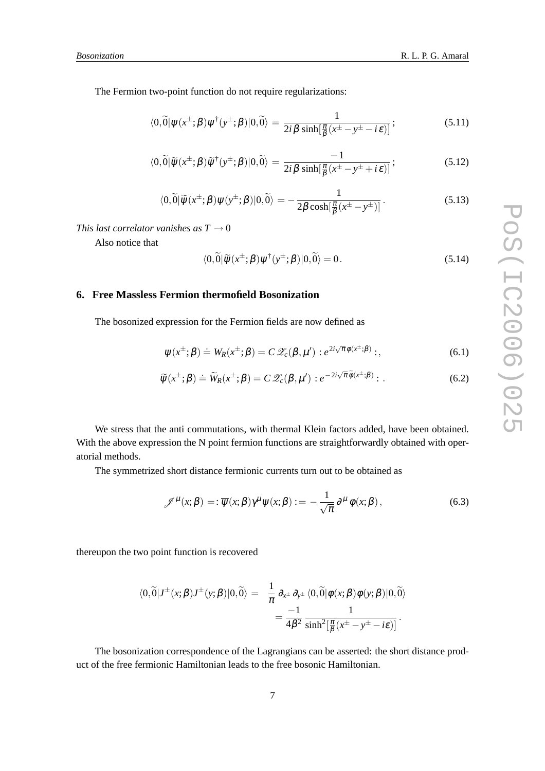$$
\langle 0,\widetilde{0}|\psi(x^{\pm};\beta)\psi^{\dagger}(y^{\pm};\beta)|0,\widetilde{0}\rangle = \frac{1}{2i\beta\sinh[\frac{\pi}{\beta}(x^{\pm}-y^{\pm}-i\varepsilon)]};\tag{5.11}
$$

$$
\langle 0,\widetilde{0}|\widetilde{\psi}(x^{\pm};\beta)\widetilde{\psi}^{\dagger}(y^{\pm};\beta)|0,\widetilde{0}\rangle = \frac{-1}{2i\beta\sinh[\frac{\pi}{\beta}(x^{\pm}-y^{\pm}+i\varepsilon)]};\tag{5.12}
$$

$$
\langle 0,\widetilde{0}|\widetilde{\psi}(x^{\pm};\beta)\psi(y^{\pm};\beta)|0,\widetilde{0}\rangle = -\frac{1}{2\beta\cosh[\frac{\pi}{\beta}(x^{\pm}-y^{\pm})]}.
$$
\n(5.13)

*This last correlator vanishes as*  $T \rightarrow 0$ 

Also notice that

$$
\langle 0,\widetilde{0}|\widetilde{\psi}(x^{\pm};\beta)\psi^{\dagger}(y^{\pm};\beta)|0,\widetilde{0}\rangle = 0.
$$
 (5.14)

### **6. Free Massless Fermion thermofield Bosonization**

The bosonized expression for the Fermion fields are now defined as

$$
\psi(x^{\pm};\beta) \doteq W_R(x^{\pm};\beta) = C \mathscr{Z}_c(\beta,\mu') : e^{2i\sqrt{\pi}\phi(x^{\pm};\beta)} :,\tag{6.1}
$$

$$
\widetilde{\psi}(x^{\pm};\beta) \doteq \widetilde{W}_R(x^{\pm};\beta) = C \mathscr{Z}_c(\beta,\mu') : e^{-2i\sqrt{\pi}\widetilde{\phi}(x^{\pm};\beta)} : . \tag{6.2}
$$

We stress that the anti commutations, with thermal Klein factors added, have been obtained. With the above expression the N point fermion functions are straightforwardly obtained with operatorial methods.

The symmetrized short distance fermionic currents turn out to be obtained as

$$
\mathscr{J}^{\mu}(x;\beta) = : \overline{\psi}(x;\beta)\gamma^{\mu}\psi(x;\beta) := -\frac{1}{\sqrt{\pi}}\partial^{\mu}\phi(x;\beta), \qquad (6.3)
$$

thereupon the two point function is recovered

$$
\langle 0,\widetilde{0}|J^{\pm}(x;\beta)J^{\pm}(y;\beta)|0,\widetilde{0}\rangle = \frac{1}{\pi}\partial_{x^{\pm}}\partial_{y^{\pm}}\langle 0,\widetilde{0}|\phi(x;\beta)\phi(y;\beta)|0,\widetilde{0}\rangle
$$
  
= 
$$
\frac{-1}{4\beta^2}\frac{1}{\sinh^2[\frac{\pi}{\beta}(x^{\pm}-y^{\pm}-i\epsilon)]}.
$$

The bosonization correspondence of the Lagrangians can be asserted: the short distance product of the free fermionic Hamiltonian leads to the free bosonic Hamiltonian.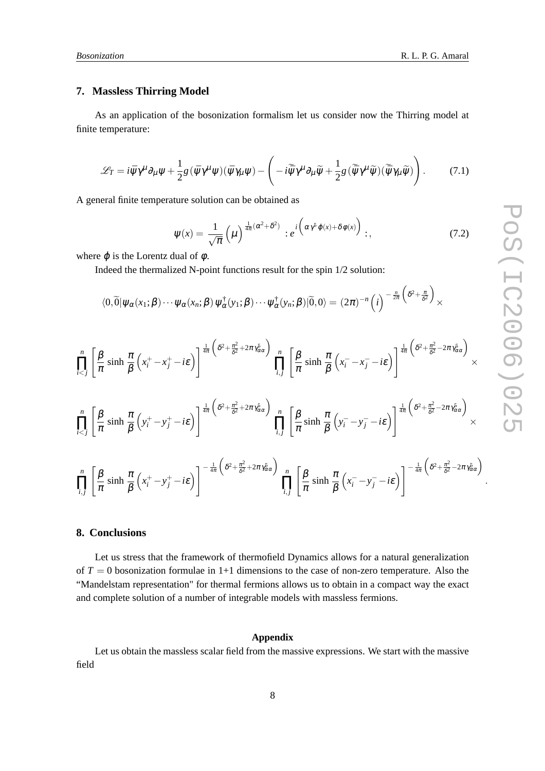#### **7. Massless Thirring Model**

As an application of the bosonization formalism let us consider now the Thirring model at finite temperature:

$$
\mathcal{L}_T = i \bar{\psi} \gamma^{\mu} \partial_{\mu} \psi + \frac{1}{2} g (\bar{\psi} \gamma^{\mu} \psi) (\bar{\psi} \gamma_{\mu} \psi) - \left( -i \tilde{\bar{\psi}} \gamma^{\mu} \partial_{\mu} \tilde{\psi} + \frac{1}{2} g (\tilde{\bar{\psi}} \gamma^{\mu} \tilde{\psi}) (\tilde{\bar{\psi}} \gamma_{\mu} \tilde{\psi}) \right). \tag{7.1}
$$

A general finite temperature solution can be obtained as

$$
\Psi(x) = \frac{1}{\sqrt{\pi}} \left( \mu \right)^{\frac{1}{4\pi} (\alpha^2 + \delta^2)} : e^{i \left( \alpha \gamma^5 \varphi(x) + \delta \varphi(x) \right)} : , \tag{7.2}
$$

where  $\varphi$  is the Lorentz dual of  $\varphi$ .

Indeed the thermalized N-point functions result for the spin 1/2 solution:

$$
\langle 0,\widetilde{0}|\psi_{\alpha}(x_1;\boldsymbol{\beta})\cdots\psi_{\alpha}(x_n;\boldsymbol{\beta})\psi_{\alpha}^{\dagger}(y_1;\boldsymbol{\beta})\cdots\psi_{\alpha}^{\dagger}(y_n;\boldsymbol{\beta})|\widetilde{0},0\rangle=(2\pi)^{-n}\left(i\right)^{-\frac{n}{2\pi}\left(\delta^2+\frac{\pi}{\delta^2}\right)}\times
$$

$$
\prod_{i
$$

#### **8. Conclusions**

Let us stress that the framework of thermofield Dynamics allows for a natural generalization of  $T = 0$  bosonization formulae in  $1+1$  dimensions to the case of non-zero temperature. Also the "Mandelstam representation" for thermal fermions allows us to obtain in a compact way the exact and complete solution of a number of integrable models with massless fermions.

#### **Appendix**

Let us obtain the massless scalar field from the massive expressions. We start with the massive field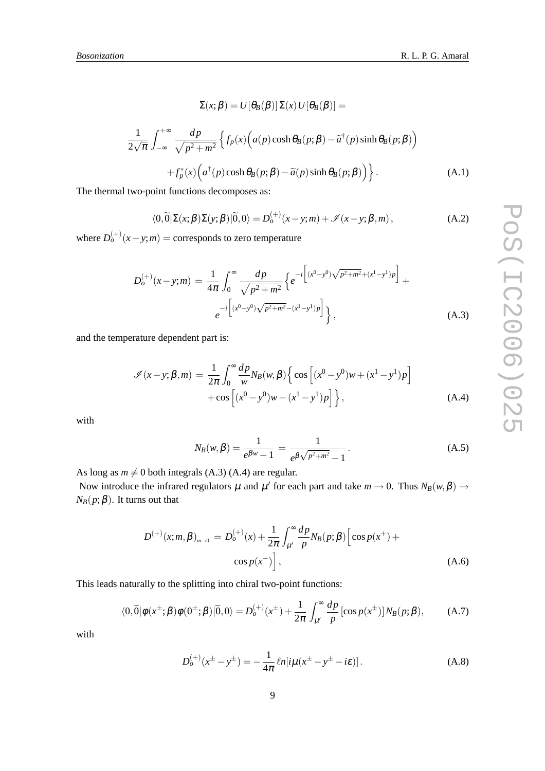$$
\Sigma(x; \beta) = U[\theta_B(\beta)] \Sigma(x) U[\theta_B(\beta)] =
$$
  

$$
\frac{1}{2\sqrt{\pi}} \int_{-\infty}^{+\infty} \frac{dp}{\sqrt{p^2 + m^2}} \left\{ f_p(x) \left( a(p) \cosh \theta_B(p; \beta) - \tilde{a}^\dagger(p) \sinh \theta_B(p; \beta) \right) + f_p^*(x) \left( a^\dagger(p) \cosh \theta_B(p; \beta) - \tilde{a}(p) \sinh \theta_B(p; \beta) \right) \right\}.
$$
 (A.1)

The thermal two-point functions decomposes as:

1

$$
\langle 0,\widetilde{0}|\Sigma(x;\beta)\Sigma(y;\beta)|\widetilde{0},0\rangle = D_o^{(+)}(x-y;m) + \mathscr{I}(x-y;\beta,m),\tag{A.2}
$$

where  $D_o^{(+)}(x - y; m) =$  corresponds to zero temperature

$$
D_o^{(+)}(x-y;m) = \frac{1}{4\pi} \int_0^\infty \frac{dp}{\sqrt{p^2 + m^2}} \left\{ e^{-i \left[ (x^0 - y^0) \sqrt{p^2 + m^2} + (x^1 - y^1)p \right]} + e^{-i \left[ (x^0 - y^0) \sqrt{p^2 + m^2} - (x^1 - y^1)p \right]} \right\},
$$
(A.3)

and the temperature dependent part is:

$$
\mathcal{I}(x-y;\beta,m) = \frac{1}{2\pi} \int_0^\infty \frac{dp}{w} N_B(w,\beta) \left\{ \cos \left[ (x^0 - y^0)w + (x^1 - y^1)p \right] + \cos \left[ (x^0 - y^0)w - (x^1 - y^1)p \right] \right\},\tag{A.4}
$$

with

$$
N_B(w, \beta) = \frac{1}{e^{\beta w} - 1} = \frac{1}{e^{\beta \sqrt{p^2 + m^2}} - 1}.
$$
 (A.5)

As long as  $m \neq 0$  both integrals (A.3) (A.4) are regular.

Now introduce the infrared regulators  $\mu$  and  $\mu'$  for each part and take  $m \to 0$ . Thus  $N_B(w, \beta) \to$  $N_B(p;\beta)$ . It turns out that

$$
D^{(+)}(x; m, \beta)_{m \to 0} = D_o^{(+)}(x) + \frac{1}{2\pi} \int_{\mu'}^{\infty} \frac{dp}{p} N_B(p; \beta) \left[ \cos p(x^+) + \cos p(x^-) \right],
$$
 (A.6)

This leads naturally to the splitting into chiral two-point functions:

$$
\langle 0,\widetilde{0}|\phi(x^{\pm};\beta)\phi(0^{\pm};\beta)|\widetilde{0},0\rangle = D_o^{(+)}(x^{\pm}) + \frac{1}{2\pi} \int_{\mu'}^{\infty} \frac{dp}{p} \left[\cos p(x^{\pm})\right] N_B(p;\beta), \tag{A.7}
$$

with

$$
D_o^{(+)}(x^{\pm} - y^{\pm}) = -\frac{1}{4\pi} \ln[i\mu(x^{\pm} - y^{\pm} - i\varepsilon)].
$$
 (A.8)